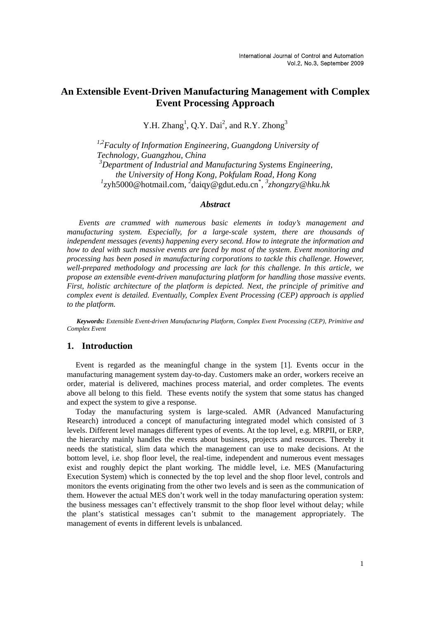# **An Extensible Event-Driven Manufacturing Management with Complex Event Processing Approach**

Y.H. Zhang<sup>1</sup>, Q.Y. Dai<sup>2</sup>, and R.Y. Zhong<sup>3</sup>

*1,2Faculty of Information Engineering, Guangdong University of Technology, Guangzhou, China 3 Department of Industrial and Manufacturing Systems Engineering, the University of Hong Kong, Pokfulam Road, Hong Kong 1* zyh5000@hotmail.com, *<sup>2</sup>* daiqy@gdut.edu.cn\* , *3 zhongzry@hku.hk* 

### *Abstract*

 *Events are crammed with numerous basic elements in today's management and manufacturing system. Especially, for a large-scale system, there are thousands of independent messages (events) happening every second. How to integrate the information and how to deal with such massive events are faced by most of the system. Event monitoring and processing has been posed in manufacturing corporations to tackle this challenge. However, well-prepared methodology and processing are lack for this challenge. In this article, we propose an extensible event-driven manufacturing platform for handling those massive events. First, holistic architecture of the platform is depicted. Next, the principle of primitive and complex event is detailed. Eventually, Complex Event Processing (CEP) approach is applied to the platform.* 

 *Keywords: Extensible Event-driven Manufacturing Platform, Complex Event Processing (CEP), Primitive and Complex Event* 

## **1. Introduction**

Event is regarded as the meaningful change in the system [1]. Events occur in the manufacturing management system day-to-day. Customers make an order, workers receive an order, material is delivered, machines process material, and order completes. The events above all belong to this field. These events notify the system that some status has changed and expect the system to give a response.

Today the manufacturing system is large-scaled. AMR (Advanced Manufacturing Research) introduced a concept of manufacturing integrated model which consisted of 3 levels. Different level manages different types of events. At the top level, e.g. MRPII, or ERP, the hierarchy mainly handles the events about business, projects and resources. Thereby it needs the statistical, slim data which the management can use to make decisions. At the bottom level, i.e. shop floor level, the real-time, independent and numerous event messages exist and roughly depict the plant working. The middle level, i.e. MES (Manufacturing Execution System) which is connected by the top level and the shop floor level, controls and monitors the events originating from the other two levels and is seen as the communication of them. However the actual MES don't work well in the today manufacturing operation system: the business messages can't effectively transmit to the shop floor level without delay; while the plant's statistical messages can't submit to the management appropriately. The management of events in different levels is unbalanced.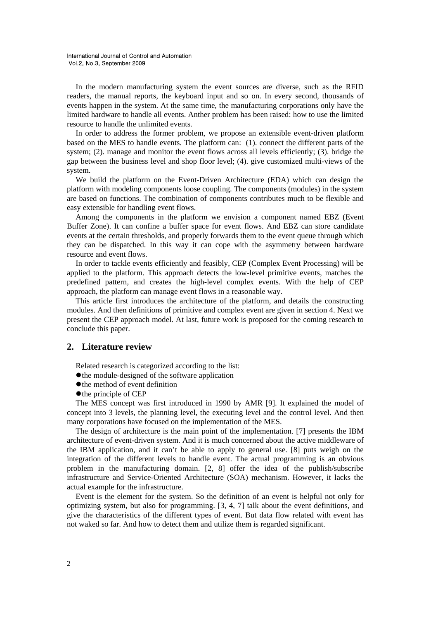In the modern manufacturing system the event sources are diverse, such as the RFID readers, the manual reports, the keyboard input and so on. In every second, thousands of events happen in the system. At the same time, the manufacturing corporations only have the limited hardware to handle all events. Anther problem has been raised: how to use the limited resource to handle the unlimited events.

In order to address the former problem, we propose an extensible event-driven platform based on the MES to handle events. The platform can: (1). connect the different parts of the system; (2). manage and monitor the event flows across all levels efficiently; (3). bridge the gap between the business level and shop floor level; (4). give customized multi-views of the system.

We build the platform on the Event-Driven Architecture (EDA) which can design the platform with modeling components loose coupling. The components (modules) in the system are based on functions. The combination of components contributes much to be flexible and easy extensible for handling event flows.

Among the components in the platform we envision a component named EBZ (Event Buffer Zone). It can confine a buffer space for event flows. And EBZ can store candidate events at the certain thresholds, and properly forwards them to the event queue through which they can be dispatched. In this way it can cope with the asymmetry between hardware resource and event flows.

In order to tackle events efficiently and feasibly, CEP (Complex Event Processing) will be applied to the platform. This approach detects the low-level primitive events, matches the predefined pattern, and creates the high-level complex events. With the help of CEP approach, the platform can manage event flows in a reasonable way.

This article first introduces the architecture of the platform, and details the constructing modules. And then definitions of primitive and complex event are given in section 4. Next we present the CEP approach model. At last, future work is proposed for the coming research to conclude this paper.

## **2. Literature review**

Related research is categorized according to the list:

- $\bullet$  the module-designed of the software application
- $\bullet$  the method of event definition
- $\bullet$  the principle of CEP

The MES concept was first introduced in 1990 by AMR [9]. It explained the model of concept into 3 levels, the planning level, the executing level and the control level. And then many corporations have focused on the implementation of the MES.

The design of architecture is the main point of the implementation. [7] presents the IBM architecture of event-driven system. And it is much concerned about the active middleware of the IBM application, and it can't be able to apply to general use. [8] puts weigh on the integration of the different levels to handle event. The actual programming is an obvious problem in the manufacturing domain. [2, 8] offer the idea of the publish/subscribe infrastructure and Service-Oriented Architecture (SOA) mechanism. However, it lacks the actual example for the infrastructure.

Event is the element for the system. So the definition of an event is helpful not only for optimizing system, but also for programming. [3, 4, 7] talk about the event definitions, and give the characteristics of the different types of event. But data flow related with event has not waked so far. And how to detect them and utilize them is regarded significant.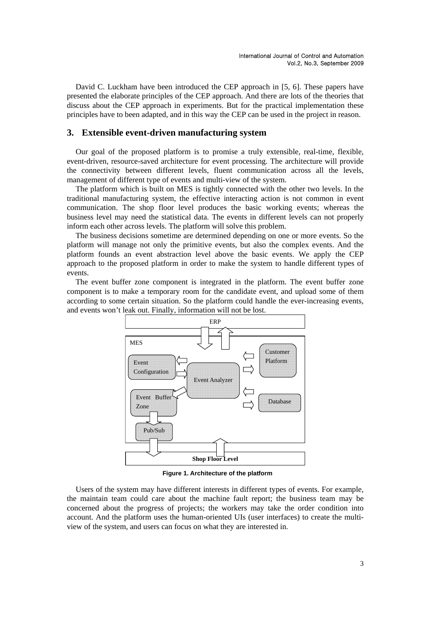David C. Luckham have been introduced the CEP approach in [5, 6]. These papers have presented the elaborate principles of the CEP approach. And there are lots of the theories that discuss about the CEP approach in experiments. But for the practical implementation these principles have to been adapted, and in this way the CEP can be used in the project in reason.

## **3. Extensible event-driven manufacturing system**

Our goal of the proposed platform is to promise a truly extensible, real-time, flexible, event-driven, resource-saved architecture for event processing. The architecture will provide the connectivity between different levels, fluent communication across all the levels, management of different type of events and multi-view of the system.

The platform which is built on MES is tightly connected with the other two levels. In the traditional manufacturing system, the effective interacting action is not common in event communication. The shop floor level produces the basic working events; whereas the business level may need the statistical data. The events in different levels can not properly inform each other across levels. The platform will solve this problem.

The business decisions sometime are determined depending on one or more events. So the platform will manage not only the primitive events, but also the complex events. And the platform founds an event abstraction level above the basic events. We apply the CEP approach to the proposed platform in order to make the system to handle different types of events.

The event buffer zone component is integrated in the platform. The event buffer zone component is to make a temporary room for the candidate event, and upload some of them according to some certain situation. So the platform could handle the ever-increasing events, and events won't leak out. Finally, information will not be lost.



**Figure 1. Architecture of the platform** 

Users of the system may have different interests in different types of events. For example, the maintain team could care about the machine fault report; the business team may be concerned about the progress of projects; the workers may take the order condition into account. And the platform uses the human-oriented UIs (user interfaces) to create the multiview of the system, and users can focus on what they are interested in.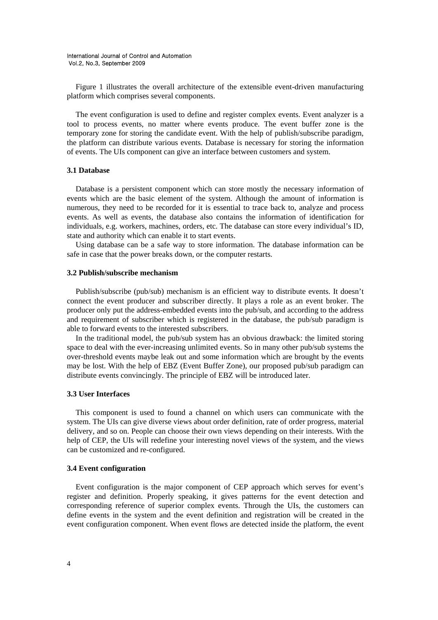Figure 1 illustrates the overall architecture of the extensible event-driven manufacturing platform which comprises several components.

The event configuration is used to define and register complex events. Event analyzer is a tool to process events, no matter where events produce. The event buffer zone is the temporary zone for storing the candidate event. With the help of publish/subscribe paradigm, the platform can distribute various events. Database is necessary for storing the information of events. The UIs component can give an interface between customers and system.

### **3.1 Database**

Database is a persistent component which can store mostly the necessary information of events which are the basic element of the system. Although the amount of information is numerous, they need to be recorded for it is essential to trace back to, analyze and process events. As well as events, the database also contains the information of identification for individuals, e.g. workers, machines, orders, etc. The database can store every individual's ID, state and authority which can enable it to start events.

Using database can be a safe way to store information. The database information can be safe in case that the power breaks down, or the computer restarts.

### **3.2 Publish/subscribe mechanism**

Publish/subscribe (pub/sub) mechanism is an efficient way to distribute events. It doesn't connect the event producer and subscriber directly. It plays a role as an event broker. The producer only put the address-embedded events into the pub/sub, and according to the address and requirement of subscriber which is registered in the database, the pub/sub paradigm is able to forward events to the interested subscribers.

In the traditional model, the pub/sub system has an obvious drawback: the limited storing space to deal with the ever-increasing unlimited events. So in many other pub/sub systems the over-threshold events maybe leak out and some information which are brought by the events may be lost. With the help of EBZ (Event Buffer Zone), our proposed pub/sub paradigm can distribute events convincingly. The principle of EBZ will be introduced later.

### **3.3 User Interfaces**

This component is used to found a channel on which users can communicate with the system. The UIs can give diverse views about order definition, rate of order progress, material delivery, and so on. People can choose their own views depending on their interests. With the help of CEP, the UIs will redefine your interesting novel views of the system, and the views can be customized and re-configured.

#### **3.4 Event configuration**

Event configuration is the major component of CEP approach which serves for event's register and definition. Properly speaking, it gives patterns for the event detection and corresponding reference of superior complex events. Through the UIs, the customers can define events in the system and the event definition and registration will be created in the event configuration component. When event flows are detected inside the platform, the event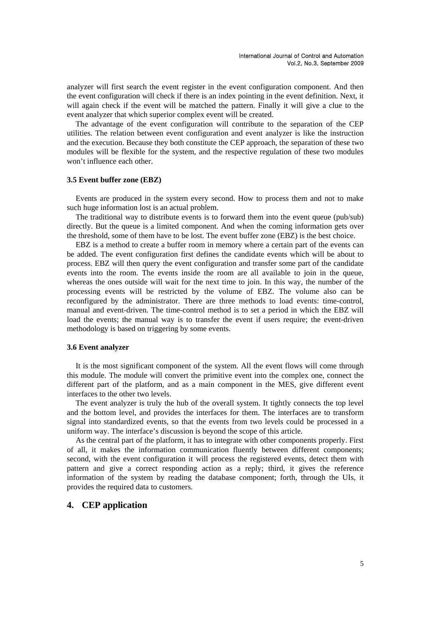analyzer will first search the event register in the event configuration component. And then the event configuration will check if there is an index pointing in the event definition. Next, it will again check if the event will be matched the pattern. Finally it will give a clue to the event analyzer that which superior complex event will be created.

The advantage of the event configuration will contribute to the separation of the CEP utilities. The relation between event configuration and event analyzer is like the instruction and the execution. Because they both constitute the CEP approach, the separation of these two modules will be flexible for the system, and the respective regulation of these two modules won't influence each other.

### **3.5 Event buffer zone (EBZ)**

Events are produced in the system every second. How to process them and not to make such huge information lost is an actual problem.

The traditional way to distribute events is to forward them into the event queue (pub/sub) directly. But the queue is a limited component. And when the coming information gets over the threshold, some of them have to be lost. The event buffer zone (EBZ) is the best choice.

EBZ is a method to create a buffer room in memory where a certain part of the events can be added. The event configuration first defines the candidate events which will be about to process. EBZ will then query the event configuration and transfer some part of the candidate events into the room. The events inside the room are all available to join in the queue, whereas the ones outside will wait for the next time to join. In this way, the number of the processing events will be restricted by the volume of EBZ. The volume also can be reconfigured by the administrator. There are three methods to load events: time-control, manual and event-driven. The time-control method is to set a period in which the EBZ will load the events; the manual way is to transfer the event if users require; the event-driven methodology is based on triggering by some events.

### **3.6 Event analyzer**

It is the most significant component of the system. All the event flows will come through this module. The module will convert the primitive event into the complex one, connect the different part of the platform, and as a main component in the MES, give different event interfaces to the other two levels.

The event analyzer is truly the hub of the overall system. It tightly connects the top level and the bottom level, and provides the interfaces for them. The interfaces are to transform signal into standardized events, so that the events from two levels could be processed in a uniform way. The interface's discussion is beyond the scope of this article.

As the central part of the platform, it has to integrate with other components properly. First of all, it makes the information communication fluently between different components; second, with the event configuration it will process the registered events, detect them with pattern and give a correct responding action as a reply; third, it gives the reference information of the system by reading the database component; forth, through the UIs, it provides the required data to customers.

## **4. CEP application**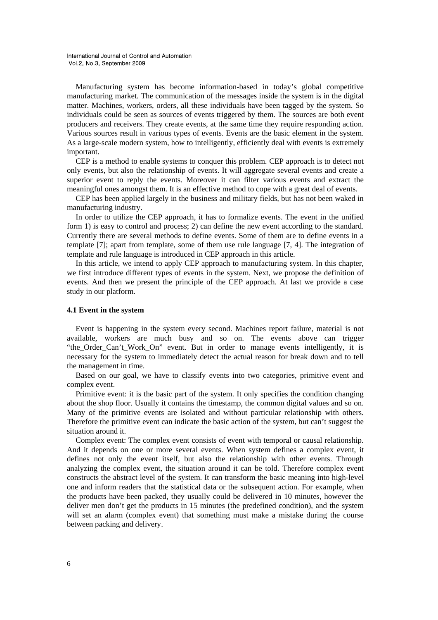Manufacturing system has become information-based in today's global competitive manufacturing market. The communication of the messages inside the system is in the digital matter. Machines, workers, orders, all these individuals have been tagged by the system. So individuals could be seen as sources of events triggered by them. The sources are both event producers and receivers. They create events, at the same time they require responding action. Various sources result in various types of events. Events are the basic element in the system. As a large-scale modern system, how to intelligently, efficiently deal with events is extremely important.

CEP is a method to enable systems to conquer this problem. CEP approach is to detect not only events, but also the relationship of events. It will aggregate several events and create a superior event to reply the events. Moreover it can filter various events and extract the meaningful ones amongst them. It is an effective method to cope with a great deal of events.

CEP has been applied largely in the business and military fields, but has not been waked in manufacturing industry.

In order to utilize the CEP approach, it has to formalize events. The event in the unified form 1) is easy to control and process; 2) can define the new event according to the standard. Currently there are several methods to define events. Some of them are to define events in a template [7]; apart from template, some of them use rule language [7, 4]. The integration of template and rule language is introduced in CEP approach in this article.

In this article, we intend to apply CEP approach to manufacturing system. In this chapter, we first introduce different types of events in the system. Next, we propose the definition of events. And then we present the principle of the CEP approach. At last we provide a case study in our platform.

### **4.1 Event in the system**

Event is happening in the system every second. Machines report failure, material is not available, workers are much busy and so on. The events above can trigger "the\_Order\_Can't\_Work\_On" event. But in order to manage events intelligently, it is necessary for the system to immediately detect the actual reason for break down and to tell the management in time.

Based on our goal, we have to classify events into two categories, primitive event and complex event.

Primitive event: it is the basic part of the system. It only specifies the condition changing about the shop floor. Usually it contains the timestamp, the common digital values and so on. Many of the primitive events are isolated and without particular relationship with others. Therefore the primitive event can indicate the basic action of the system, but can't suggest the situation around it.

Complex event: The complex event consists of event with temporal or causal relationship. And it depends on one or more several events. When system defines a complex event, it defines not only the event itself, but also the relationship with other events. Through analyzing the complex event, the situation around it can be told. Therefore complex event constructs the abstract level of the system. It can transform the basic meaning into high-level one and inform readers that the statistical data or the subsequent action. For example, when the products have been packed, they usually could be delivered in 10 minutes, however the deliver men don't get the products in 15 minutes (the predefined condition), and the system will set an alarm (complex event) that something must make a mistake during the course between packing and delivery.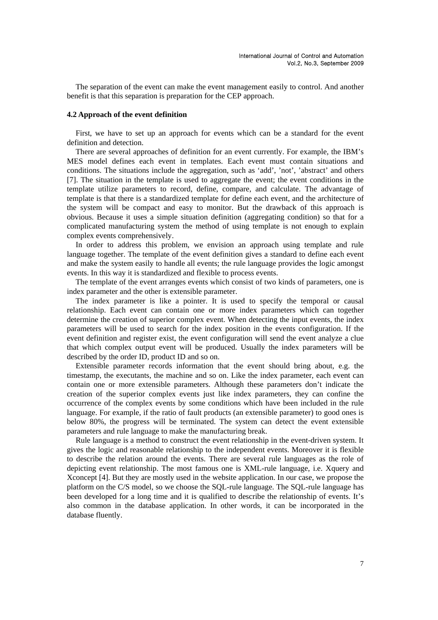The separation of the event can make the event management easily to control. And another benefit is that this separation is preparation for the CEP approach.

### **4.2 Approach of the event definition**

First, we have to set up an approach for events which can be a standard for the event definition and detection.

There are several approaches of definition for an event currently. For example, the IBM's MES model defines each event in templates. Each event must contain situations and conditions. The situations include the aggregation, such as 'add', 'not', 'abstract' and others [7]. The situation in the template is used to aggregate the event; the event conditions in the template utilize parameters to record, define, compare, and calculate. The advantage of template is that there is a standardized template for define each event, and the architecture of the system will be compact and easy to monitor. But the drawback of this approach is obvious. Because it uses a simple situation definition (aggregating condition) so that for a complicated manufacturing system the method of using template is not enough to explain complex events comprehensively.

In order to address this problem, we envision an approach using template and rule language together. The template of the event definition gives a standard to define each event and make the system easily to handle all events; the rule language provides the logic amongst events. In this way it is standardized and flexible to process events.

The template of the event arranges events which consist of two kinds of parameters, one is index parameter and the other is extensible parameter.

The index parameter is like a pointer. It is used to specify the temporal or causal relationship. Each event can contain one or more index parameters which can together determine the creation of superior complex event. When detecting the input events, the index parameters will be used to search for the index position in the events configuration. If the event definition and register exist, the event configuration will send the event analyze a clue that which complex output event will be produced. Usually the index parameters will be described by the order ID, product ID and so on.

Extensible parameter records information that the event should bring about, e.g. the timestamp, the executants, the machine and so on. Like the index parameter, each event can contain one or more extensible parameters. Although these parameters don't indicate the creation of the superior complex events just like index parameters, they can confine the occurrence of the complex events by some conditions which have been included in the rule language. For example, if the ratio of fault products (an extensible parameter) to good ones is below 80%, the progress will be terminated. The system can detect the event extensible parameters and rule language to make the manufacturing break.

Rule language is a method to construct the event relationship in the event-driven system. It gives the logic and reasonable relationship to the independent events. Moreover it is flexible to describe the relation around the events. There are several rule languages as the role of depicting event relationship. The most famous one is XML-rule language, i.e. Xquery and Xconcept [4]. But they are mostly used in the website application. In our case, we propose the platform on the C/S model, so we choose the SQL-rule language. The SQL-rule language has been developed for a long time and it is qualified to describe the relationship of events. It's also common in the database application. In other words, it can be incorporated in the database fluently.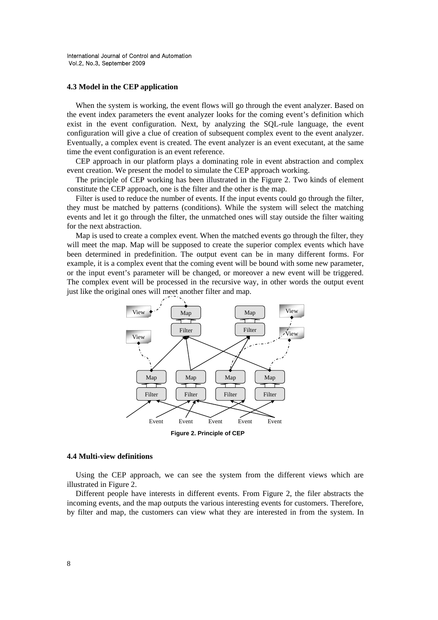### **4.3 Model in the CEP application**

When the system is working, the event flows will go through the event analyzer. Based on the event index parameters the event analyzer looks for the coming event's definition which exist in the event configuration. Next, by analyzing the SQL-rule language, the event configuration will give a clue of creation of subsequent complex event to the event analyzer. Eventually, a complex event is created. The event analyzer is an event executant, at the same time the event configuration is an event reference.

CEP approach in our platform plays a dominating role in event abstraction and complex event creation. We present the model to simulate the CEP approach working.

The principle of CEP working has been illustrated in the Figure 2. Two kinds of element constitute the CEP approach, one is the filter and the other is the map.

Filter is used to reduce the number of events. If the input events could go through the filter, they must be matched by patterns (conditions). While the system will select the matching events and let it go through the filter, the unmatched ones will stay outside the filter waiting for the next abstraction.

Map is used to create a complex event. When the matched events go through the filter, they will meet the map. Map will be supposed to create the superior complex events which have been determined in predefinition. The output event can be in many different forms. For example, it is a complex event that the coming event will be bound with some new parameter, or the input event's parameter will be changed, or moreover a new event will be triggered. The complex event will be processed in the recursive way, in other words the output event just like the original ones will meet another filter and map.



**Figure 2. Principle of CEP** 

### **4.4 Multi-view definitions**

Using the CEP approach, we can see the system from the different views which are illustrated in Figure 2.

Different people have interests in different events. From Figure 2, the filer abstracts the incoming events, and the map outputs the various interesting events for customers. Therefore, by filter and map, the customers can view what they are interested in from the system. In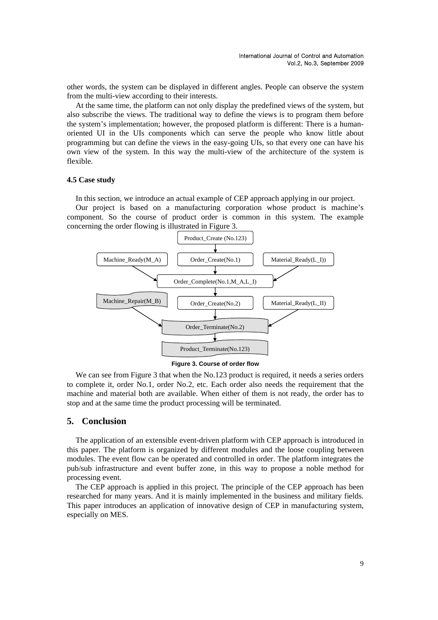other words, the system can be displayed in different angles. People can observe the system from the multi-view according to their interests.

At the same time, the platform can not only display the predefined views of the system, but also subscribe the views. The traditional way to define the views is to program them before the system's implementation; however, the proposed platform is different: There is a humanoriented UI in the UIs components which can serve the people who know little about programming but can define the views in the easy-going UIs, so that every one can have his own view of the system. In this way the multi-view of the architecture of the system is flexible.

### **4.5 Case study**

In this section, we introduce an actual example of CEP approach applying in our project.

Our project is based on a manufacturing corporation whose product is machine's component. So the course of product order is common in this system. The example concerning the order flowing is illustrated in Figure 3.



**Figure 3. Course of order flow** 

We can see from Figure 3 that when the No.123 product is required, it needs a series orders to complete it, order No.1, order No.2, etc. Each order also needs the requirement that the machine and material both are available. When either of them is not ready, the order has to stop and at the same time the product processing will be terminated.

### **5. Conclusion**

The application of an extensible event-driven platform with CEP approach is introduced in this paper. The platform is organized by different modules and the loose coupling between modules. The event flow can be operated and controlled in order. The platform integrates the pub/sub infrastructure and event buffer zone, in this way to propose a noble method for processing event.

The CEP approach is applied in this project. The principle of the CEP approach has been researched for many years. And it is mainly implemented in the business and military fields. This paper introduces an application of innovative design of CEP in manufacturing system, especially on MES.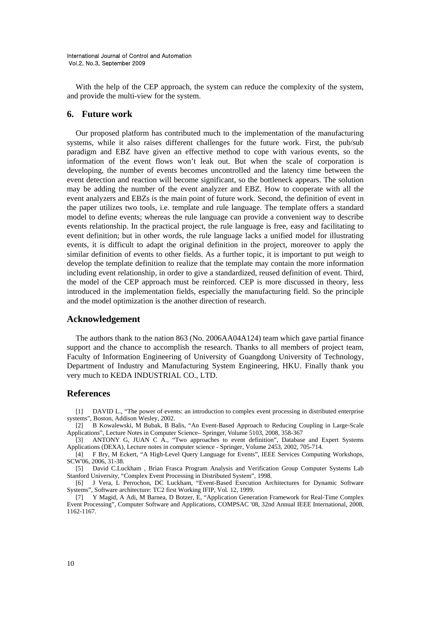With the help of the CEP approach, the system can reduce the complexity of the system, and provide the multi-view for the system.

## **6. Future work**

Our proposed platform has contributed much to the implementation of the manufacturing systems, while it also raises different challenges for the future work. First, the pub/sub paradigm and EBZ have given an effective method to cope with various events, so the information of the event flows won't leak out. But when the scale of corporation is developing, the number of events becomes uncontrolled and the latency time between the event detection and reaction will become significant, so the bottleneck appears. The solution may be adding the number of the event analyzer and EBZ. How to cooperate with all the event analyzers and EBZs is the main point of future work. Second, the definition of event in the paper utilizes two tools, i.e. template and rule language. The template offers a standard model to define events; whereas the rule language can provide a convenient way to describe events relationship. In the practical project, the rule language is free, easy and facilitating to event definition; but in other words, the rule language lacks a unified model for illustrating events, it is difficult to adapt the original definition in the project, moreover to apply the similar definition of events to other fields. As a further topic, it is important to put weigh to develop the template definition to realize that the template may contain the more information including event relationship, in order to give a standardized, reused definition of event. Third, the model of the CEP approach must be reinforced. CEP is more discussed in theory, less introduced in the implementation fields, especially the manufacturing field. So the principle and the model optimization is the another direction of research.

### **Acknowledgement**

The authors thank to the nation 863 (No. 2006AA04A124) team which gave partial finance support and the chance to accomplish the research. Thanks to all members of project team, Faculty of Information Engineering of University of Guangdong University of Technology, Department of Industry and Manufacturing System Engineering, HKU. Finally thank you very much to KEDA INDUSTRIAL CO., LTD.

### **References**

[1] DAVID L., "The power of events: an introduction to complex event processing in distributed enterprise systems", Boston, Addison Wesley, 2002.

[2] B Kowalewski, M Bubak, B Balis, "An Event-Based Approach to Reducing Coupling in Large-Scale Applications", Lecture Notes in Computer Science– Springer, Volume 5103, 2008, 358-367

[3] ANTONY G, JUAN C A., "Two approaches to event definition", Database and Expert Systems Applications (DEXA), Lecture notes in computer science - Springer, Volume 2453, 2002, 705-714.

[4] F Bry, M Eckert, "A High-Level Query Language for Events", IEEE Services Computing Workshops, SCW'06, 2006, 31-38.

[5] David C.Luckham , Brian Frasca Program Analysis and Verification Group Computer Systems Lab Stanford University, "Complex Event Processing in Distributed System", 1998.

[6] J Vera, L Perrochon, DC Luckham, "Event-Based Execution Architectures for Dynamic Software Systems", Software architecture: TC2 first Working IFIP, Vol. 12, 1999.

[7] Y Magid, A Adi, M Barnea, D Botzer, E, "Application Generation Framework for Real-Time Complex Event Processing", Computer Software and Applications, COMPSAC '08, 32nd Annual IEEE International, 2008, 1162-1167.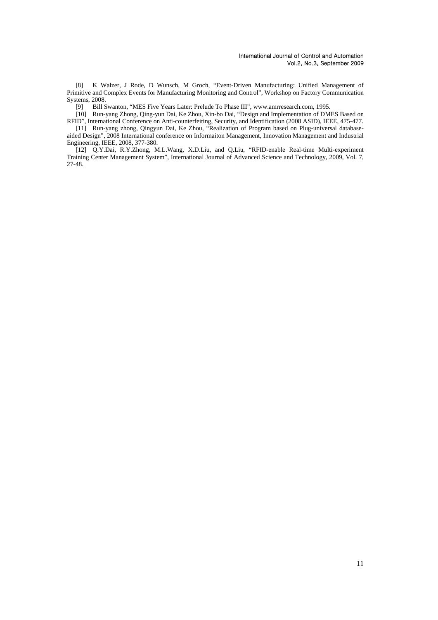[8] K Walzer, J Rode, D Wunsch, M Groch, "Event-Driven Manufacturing: Unified Management of Primitive and Complex Events for Manufacturing Monitoring and Control", Workshop on Factory Communication Systems, 2008.

[9] Bill Swanton, "MES Five Years Later: Prelude To Phase III", www.amrresearch.com, 1995.

[10] Run-yang Zhong, Qing-yun Dai, Ke Zhou, Xin-bo Dai, "Design and Implementation of DMES Based on RFID", International Conference on Anti-counterfeiting, Security, and Identification (2008 ASID), IEEE, 475-477.

[11] Run-yang zhong, Qingyun Dai, Ke Zhou, "Realization of Program based on Plug-universal databaseaided Design", 2008 International conference on Informaiton Management, Innovation Management and Industrial Engineering, IEEE, 2008, 377-380.

[12] Q.Y.Dai, R.Y.Zhong, M.L.Wang, X.D.Liu, and Q.Liu, "RFID-enable Real-time Multi-experiment Training Center Management System", International Journal of Advanced Science and Technology, 2009, Vol. 7, 27-48.